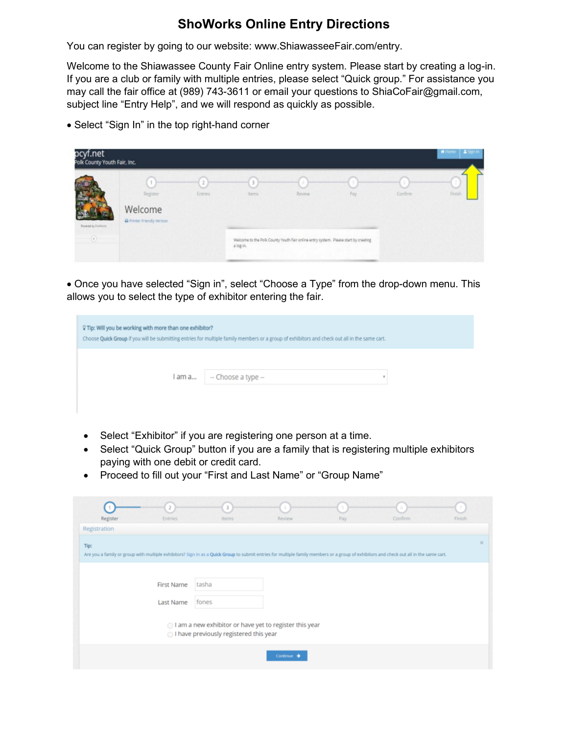## **ShoWorks Online Entry Directions**

You can register by going to our website: [www.ShiawasseeFair.com/](http://www.shiawasseefair.com/)entry.

Welcome to the Shiawassee County Fair Online entry system. Please start by creating a log-in. If you are a club or family with multiple entries, please select "Quick group." For assistance you may call the fair office at (989) 743-3611 or email your questions to ShiaCoFair@gmail.com, subject line "Entry Help", and we will respond as quickly as possible.

• Select "Sign In" in the top right-hand corner

| pcyf.net<br>Polk County Youth Fair, Inc. |                                                |                |                         |                                                                                               |     |         | A Signin<br># Home |
|------------------------------------------|------------------------------------------------|----------------|-------------------------|-----------------------------------------------------------------------------------------------|-----|---------|--------------------|
| <b>Rowell's Stations</b><br>$\epsilon$   | Register<br>Welcome<br>Printer Friendy Version | <b>Entries</b> | 3<br>items<br>a log-in. | Review<br>Welcome to the Polk County Youth Fair online entry system. Please start by creating | Pay | Confirm | Finish             |

• Once you have selected "Sign in", select "Choose a Type" from the drop-down menu. This allows you to select the type of exhibitor entering the fair.

| ♀ Tip: Will you be working with more than one exhibitor?<br>Choose Quick Group if you will be submitting entries for multiple family members or a group of exhibitors and check out all in the same cart. |                     |   |
|-----------------------------------------------------------------------------------------------------------------------------------------------------------------------------------------------------------|---------------------|---|
| l am a                                                                                                                                                                                                    | -- Choose a type -- | v |

- Select "Exhibitor" if you are registering one person at a time.
- Select "Quick Group" button if you are a family that is registering multiple exhibitors paying with one debit or credit card.
- Proceed to fill out your "First and Last Name" or "Group Name"

| Register                                                                                                                                                                                | <b>Entries</b>    | 3<br>Items                                                                                         | Review     | Pay | Confirm | Finish       |
|-----------------------------------------------------------------------------------------------------------------------------------------------------------------------------------------|-------------------|----------------------------------------------------------------------------------------------------|------------|-----|---------|--------------|
| Registration                                                                                                                                                                            |                   |                                                                                                    |            |     |         |              |
| Tip:                                                                                                                                                                                    |                   |                                                                                                    |            |     |         | $\mathbb{M}$ |
| Are you a family or group with multiple exhibitors? Sign in as a Quick Group to submit entries for multiple family members or a group of exhibitors and check out all in the same cart. |                   |                                                                                                    |            |     |         |              |
|                                                                                                                                                                                         |                   |                                                                                                    |            |     |         |              |
|                                                                                                                                                                                         | <b>First Name</b> | tasha                                                                                              |            |     |         |              |
|                                                                                                                                                                                         | Last Name         | fones                                                                                              |            |     |         |              |
|                                                                                                                                                                                         |                   | ○ I am a new exhibitor or have yet to register this year<br>I have previously registered this year |            |     |         |              |
|                                                                                                                                                                                         |                   |                                                                                                    | Continue → |     |         |              |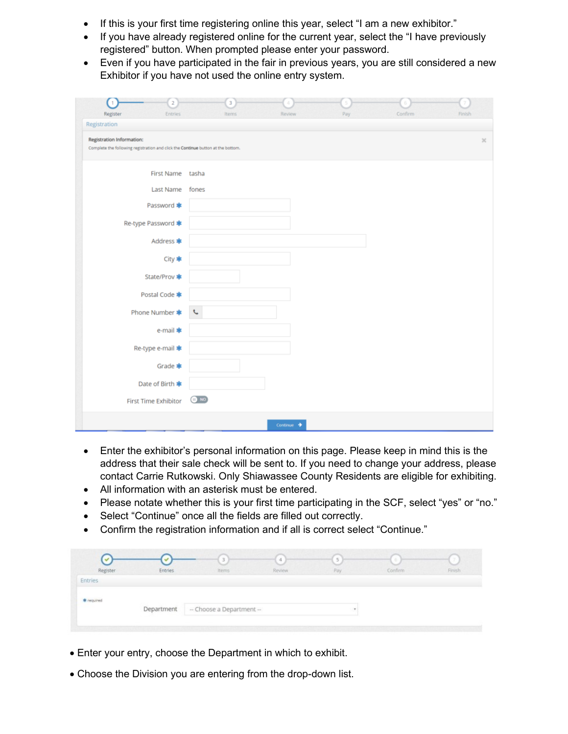- If this is your first time registering online this year, select "I am a new exhibitor."
- If you have already registered online for the current year, select the "I have previously registered" button. When prompted please enter your password.
- Even if you have participated in the fair in previous years, you are still considered a new Exhibitor if you have not used the online entry system.

| $\overline{2}$<br>1<br>Register<br><b>Entries</b>                                                             | 3<br>Confirm<br>Review<br>Pay<br>Finish<br>Items |
|---------------------------------------------------------------------------------------------------------------|--------------------------------------------------|
| Registration                                                                                                  |                                                  |
| Registration Information:<br>Complete the following registration and click the Continue button at the bottom. | $\rm{K}$                                         |
| First Name tasha                                                                                              |                                                  |
| <b>Last Name</b>                                                                                              | fones                                            |
| Password <b>*</b>                                                                                             |                                                  |
| Re-type Password *                                                                                            |                                                  |
| Address *                                                                                                     |                                                  |
| City *                                                                                                        |                                                  |
| State/Prov *                                                                                                  |                                                  |
| Postal Code *                                                                                                 |                                                  |
| Phone Number *                                                                                                | $\zeta$                                          |
| e-mail *                                                                                                      |                                                  |
| Re-type e-mail *                                                                                              |                                                  |
| Grade *                                                                                                       |                                                  |
| Date of Birth *                                                                                               |                                                  |
| First Time Exhibitor                                                                                          | $\bigoplus$ MO                                   |
|                                                                                                               | Continue $\rightarrow$                           |

- Enter the exhibitor's personal information on this page. Please keep in mind this is the address that their sale check will be sent to. If you need to change your address, please contact Carrie Rutkowski. Only Shiawassee County Residents are eligible for exhibiting.
- All information with an asterisk must be entered.
- Please notate whether this is your first time participating in the SCF, select "yes" or "no."
- Select "Continue" once all the fields are filled out correctly.
- Confirm the registration information and if all is correct select "Continue."

| $\checkmark$<br>Register | Entries | $\tilde{\phantom{a}}$<br>Items | Review | 5<br>Pay | Confirm | $\sim$<br>Finish |
|--------------------------|---------|--------------------------------|--------|----------|---------|------------------|
| Entries                  |         |                                |        |          |         |                  |
|                          |         |                                |        |          |         |                  |
| * required               |         |                                |        |          |         |                  |

- Enter your entry, choose the Department in which to exhibit.
- Choose the Division you are entering from the drop-down list.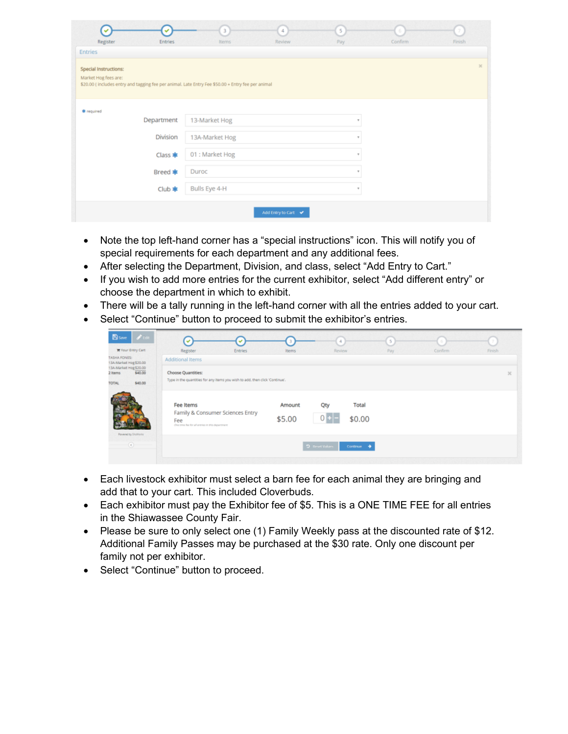| $\checkmark$<br>Register<br>Entries<br>Entries                                                                                                     | $\overline{3}$<br>Items | 4<br>Review       | $\overline{5}$<br>Pay | Confirm | Finish       |
|----------------------------------------------------------------------------------------------------------------------------------------------------|-------------------------|-------------------|-----------------------|---------|--------------|
| Special Instructions:<br>Market Hog fees are:<br>\$20.00 (includes entry and tagging fee per animal. Late Entry Fee \$50.00 + Entry fee per animal |                         |                   |                       |         | $\mathbb{R}$ |
| <b>幸</b> required                                                                                                                                  |                         |                   |                       |         |              |
| Department                                                                                                                                         | 13-Market Hog           |                   | $\tau$ .              |         |              |
| Division                                                                                                                                           | 13A-Market Hog          |                   | $\tau$                |         |              |
| Class *                                                                                                                                            | 01 : Market Hog         |                   | $\bar{\nu}$           |         |              |
| Breed <b>*</b>                                                                                                                                     | Duroc                   |                   | $\scriptstyle\rm w$   |         |              |
| Club $*$                                                                                                                                           | Bulls Eye 4-H           |                   | $\tau$ .              |         |              |
|                                                                                                                                                    |                         | Add Entry to Cart |                       |         |              |

- Note the top left-hand corner has a "special instructions" icon. This will notify you of special requirements for each department and any additional fees.
- After selecting the Department, Division, and class, select "Add Entry to Cart."
- If you wish to add more entries for the current exhibitor, select "Add different entry" or choose the department in which to exhibit.
- There will be a tally running in the left-hand corner with all the entries added to your cart.
- Select "Continue" button to proceed to submit the exhibitor's entries.

| $\blacktriangleright$ Edit<br><b>B</b> save<br><b>Te</b> Your Entry Cart<br>TASHA FONES:<br>13A-Market Hog \$20.00 | $\checkmark$<br>4<br>5<br>6<br>$\checkmark$<br>Register<br>Confirm<br>Review<br><b>Entries</b><br>Pay<br><b>Items</b><br>Additional Items                        | 7.<br>Finish |
|--------------------------------------------------------------------------------------------------------------------|------------------------------------------------------------------------------------------------------------------------------------------------------------------|--------------|
| 13A-Market Hog \$20.00<br>\$40.00<br>2 Items<br>\$40.00<br><b>TOTAL</b>                                            | Choose Quantities:<br>Type in the quantities for any items you wish to add, then click 'Continue'.                                                               | $\mathbb{X}$ |
| Powered by SholVorist                                                                                              | Qty<br>Fee Items<br>Total<br>Amount<br>Family & Consumer Sciences Entry<br>$0 + -$<br>\$0.00<br>\$5.00<br>Fee<br>One time he for all entries in this department. |              |
| $\odot$                                                                                                            | D. Reset Values<br>Continue                                                                                                                                      |              |

- Each livestock exhibitor must select a barn fee for each animal they are bringing and add that to your cart. This included Cloverbuds.
- Each exhibitor must pay the Exhibitor fee of \$5. This is a ONE TIME FEE for all entries in the Shiawassee County Fair.
- Please be sure to only select one (1) Family Weekly pass at the discounted rate of \$12. Additional Family Passes may be purchased at the \$30 rate. Only one discount per family not per exhibitor.
- Select "Continue" button to proceed.